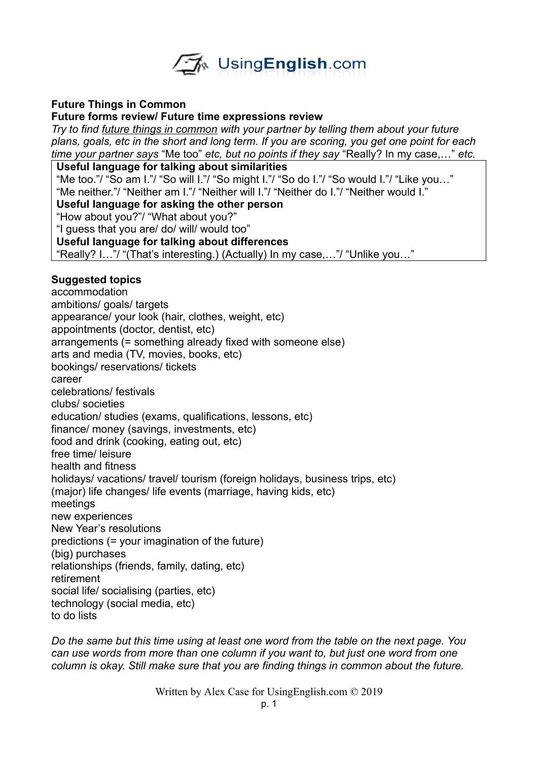

#### **Future Things in Common**

#### **Future forms review/ Future time expressions review**

*Try to find future things in common with your partner by telling them about your future plans, goals, etc in the short and long term. If you are scoring, you get one point for each time your partner says* "Me too" *etc, but no points if they say* "Really? In my case,…" *etc.* 

#### **Useful language for talking about similarities**

"Me too."/ "So am I."/ "So will I."/ "So might I."/ "So do I."/ "So would I."/ "Like you…" "Me neither."/ "Neither am I."/ "Neither will I."/ "Neither do I."/ "Neither would I."

#### **Useful language for asking the other person**

"How about you?"/ "What about you?"

"I guess that you are/ do/ will/ would too"

#### **Useful language for talking about differences**

"Really? I…"/ "(That's interesting.) (Actually) In my case,…"/ "Unlike you…"

## **Suggested topics**

accommodation ambitions/ goals/ targets appearance/ your look (hair, clothes, weight, etc) appointments (doctor, dentist, etc) arrangements (= something already fixed with someone else) arts and media (TV, movies, books, etc) bookings/ reservations/ tickets career celebrations/ festivals clubs/ societies education/ studies (exams, qualifications, lessons, etc) finance/ money (savings, investments, etc) food and drink (cooking, eating out, etc) free time/ leisure health and fitness holidays/ vacations/ travel/ tourism (foreign holidays, business trips, etc) (major) life changes/ life events (marriage, having kids, etc) meetings new experiences New Year's resolutions predictions (= your imagination of the future) (big) purchases relationships (friends, family, dating, etc) retirement social life/ socialising (parties, etc) technology (social media, etc) to do lists

*Do the same but this time using at least one word from the table on the next page. You can use words from more than one column if you want to, but just one word from one column is okay. Still make sure that you are finding things in common about the future.* 

Written by Alex Case for UsingEnglish.com © 2019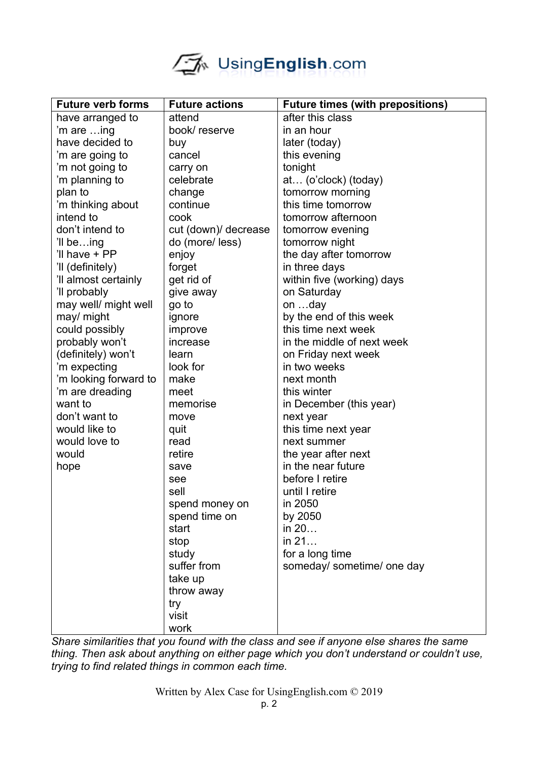# UsingEnglish.com

| <b>Future verb forms</b> | <b>Future actions</b> | <b>Future times (with prepositions)</b> |
|--------------------------|-----------------------|-----------------------------------------|
| have arranged to         | attend                | after this class                        |
| 'm are ing               | book/reserve          | in an hour                              |
| have decided to          | buy                   | later (today)                           |
| 'm are going to          | cancel                | this evening                            |
| 'm not going to          | carry on              | tonight                                 |
| 'm planning to           | celebrate             | at (o'clock) (today)                    |
| plan to                  | change                | tomorrow morning                        |
| 'm thinking about        | continue              | this time tomorrow                      |
| intend to                | cook                  | tomorrow afternoon                      |
| don't intend to          | cut (down)/ decrease  | tomorrow evening                        |
| 'Il being                | do (more/less)        | tomorrow night                          |
| 'Il have + PP            | enjoy                 | the day after tomorrow                  |
| 'll (definitely)         | forget                | in three days                           |
| 'Il almost certainly     | get rid of            | within five (working) days              |
| 'll probably             | give away             | on Saturday                             |
| may well/ might well     | go to                 | on day                                  |
| may/ might               | ignore                | by the end of this week                 |
| could possibly           | improve               | this time next week                     |
| probably won't           | increase              | in the middle of next week              |
| (definitely) won't       | learn                 | on Friday next week                     |
| 'm expecting             | look for              | in two weeks                            |
| 'm looking forward to    | make                  | next month                              |
| 'm are dreading          | meet                  | this winter                             |
| want to                  | memorise              | in December (this year)                 |
| don't want to            | move                  | next year                               |
| would like to            | quit                  | this time next year                     |
| would love to            | read                  | next summer                             |
| would                    | retire                | the year after next                     |
| hope                     | save                  | in the near future                      |
|                          | see                   | before I retire                         |
|                          | sell                  | until I retire                          |
|                          | spend money on        | in 2050                                 |
|                          | spend time on         | by 2050                                 |
|                          | start                 | in 20                                   |
|                          | stop                  | in 21                                   |
|                          | study                 | for a long time                         |
|                          | suffer from           | someday/ sometime/ one day              |
|                          | take up               |                                         |
|                          | throw away            |                                         |
|                          | try                   |                                         |
|                          | visit                 |                                         |
|                          | work                  |                                         |

*Share similarities that you found with the class and see if anyone else shares the same thing. Then ask about anything on either page which you don't understand or couldn't use, trying to find related things in common each time.*

Written by Alex Case for UsingEnglish.com © 2019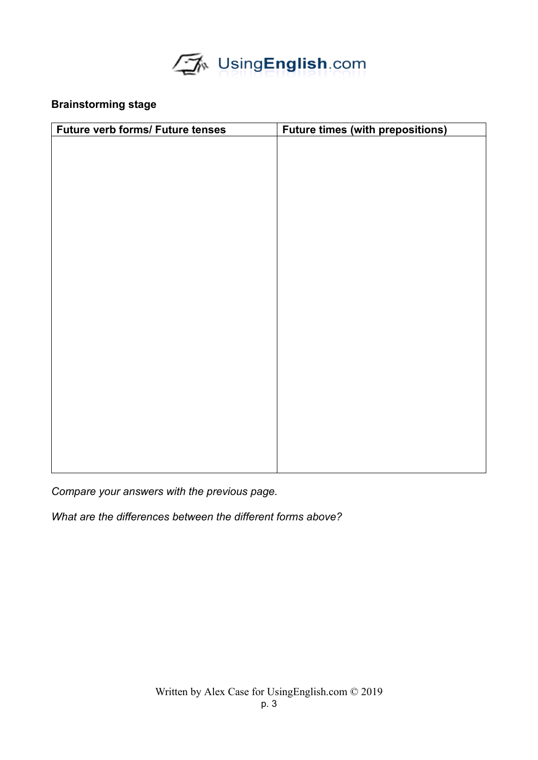

# **Brainstorming stage**

| <b>Future verb forms/ Future tenses</b> | <b>Future times (with prepositions)</b> |
|-----------------------------------------|-----------------------------------------|
|                                         |                                         |
|                                         |                                         |
|                                         |                                         |
|                                         |                                         |
|                                         |                                         |
|                                         |                                         |
|                                         |                                         |
|                                         |                                         |
|                                         |                                         |
|                                         |                                         |
|                                         |                                         |
|                                         |                                         |
|                                         |                                         |
|                                         |                                         |
|                                         |                                         |
|                                         |                                         |
|                                         |                                         |
|                                         |                                         |
|                                         |                                         |
|                                         |                                         |
|                                         |                                         |
|                                         |                                         |
|                                         |                                         |
|                                         |                                         |

*Compare your answers with the previous page.*

*What are the differences between the different forms above?*